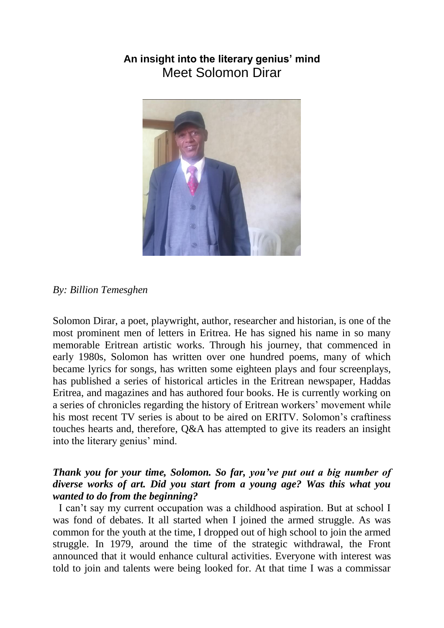# **An insight into the literary genius' mind** Meet Solomon Dirar



#### *By: Billion Temesghen*

Solomon Dirar, a poet, playwright, author, researcher and historian, is one of the most prominent men of letters in Eritrea. He has signed his name in so many memorable Eritrean artistic works. Through his journey, that commenced in early 1980s, Solomon has written over one hundred poems, many of which became lyrics for songs, has written some eighteen plays and four screenplays, has published a series of historical articles in the Eritrean newspaper, Haddas Eritrea, and magazines and has authored four books. He is currently working on a series of chronicles regarding the history of Eritrean workers' movement while his most recent TV series is about to be aired on ERITV. Solomon's craftiness touches hearts and, therefore, Q&A has attempted to give its readers an insight into the literary genius' mind.

### *Thank you for your time, Solomon. So far, you've put out a big number of diverse works of art. Did you start from a young age? Was this what you wanted to do from the beginning?*

I can't say my current occupation was a childhood aspiration. But at school I was fond of debates. It all started when I joined the armed struggle. As was common for the youth at the time, I dropped out of high school to join the armed struggle. In 1979, around the time of the strategic withdrawal, the Front announced that it would enhance cultural activities. Everyone with interest was told to join and talents were being looked for. At that time I was a commissar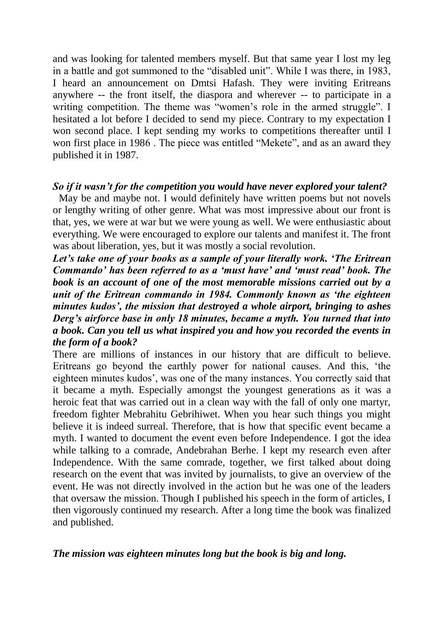and was looking for talented members myself. But that same year I lost my leg in a battle and got summoned to the "disabled unit". While I was there, in 1983, I heard an announcement on Dmtsi Hafash. They were inviting Eritreans anywhere -- the front itself, the diaspora and wherever -- to participate in a writing competition. The theme was "women's role in the armed struggle". I hesitated a lot before I decided to send my piece. Contrary to my expectation I won second place. I kept sending my works to competitions thereafter until I won first place in 1986 . The piece was entitled "Mekete", and as an award they published it in 1987.

#### *So if it wasn't for the competition you would have never explored your talent?*

May be and maybe not. I would definitely have written poems but not novels or lengthy writing of other genre. What was most impressive about our front is that, yes, we were at war but we were young as well. We were enthusiastic about everything. We were encouraged to explore our talents and manifest it. The front was about liberation, yes, but it was mostly a social revolution.

*Let's take one of your books as a sample of your literally work. 'The Eritrean Commando' has been referred to as a 'must have' and 'must read' book. The book is an account of one of the most memorable missions carried out by a unit of the Eritrean commando in 1984. Commonly known as 'the eighteen minutes kudos', the mission that destroyed a whole airport, bringing to ashes Derg's airforce base in only 18 minutes, became a myth. You turned that into a book. Can you tell us what inspired you and how you recorded the events in the form of a book?* 

There are millions of instances in our history that are difficult to believe. Eritreans go beyond the earthly power for national causes. And this, 'the eighteen minutes kudos', was one of the many instances. You correctly said that it became a myth. Especially amongst the youngest generations as it was a heroic feat that was carried out in a clean way with the fall of only one martyr, freedom fighter Mebrahitu Gebrihiwet. When you hear such things you might believe it is indeed surreal. Therefore, that is how that specific event became a myth. I wanted to document the event even before Independence. I got the idea while talking to a comrade, Andebrahan Berhe. I kept my research even after Independence. With the same comrade, together, we first talked about doing research on the event that was invited by journalists, to give an overview of the event. He was not directly involved in the action but he was one of the leaders that oversaw the mission. Though I published his speech in the form of articles, I then vigorously continued my research. After a long time the book was finalized and published.

#### *The mission was eighteen minutes long but the book is big and long.*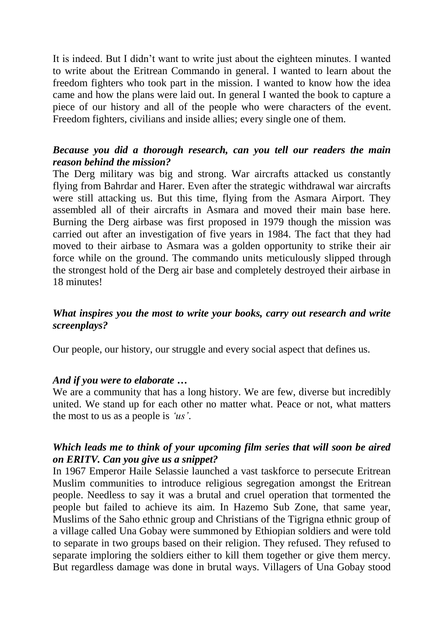It is indeed. But I didn't want to write just about the eighteen minutes. I wanted to write about the Eritrean Commando in general. I wanted to learn about the freedom fighters who took part in the mission. I wanted to know how the idea came and how the plans were laid out. In general I wanted the book to capture a piece of our history and all of the people who were characters of the event. Freedom fighters, civilians and inside allies; every single one of them.

### *Because you did a thorough research, can you tell our readers the main reason behind the mission?*

The Derg military was big and strong. War aircrafts attacked us constantly flying from Bahrdar and Harer. Even after the strategic withdrawal war aircrafts were still attacking us. But this time, flying from the Asmara Airport. They assembled all of their aircrafts in Asmara and moved their main base here. Burning the Derg airbase was first proposed in 1979 though the mission was carried out after an investigation of five years in 1984. The fact that they had moved to their airbase to Asmara was a golden opportunity to strike their air force while on the ground. The commando units meticulously slipped through the strongest hold of the Derg air base and completely destroyed their airbase in 18 minutes!

# *What inspires you the most to write your books, carry out research and write screenplays?*

Our people, our history, our struggle and every social aspect that defines us.

#### *And if you were to elaborate …*

We are a community that has a long history. We are few, diverse but incredibly united. We stand up for each other no matter what. Peace or not, what matters the most to us as a people is *'us'*.

# *Which leads me to think of your upcoming film series that will soon be aired on ERITV. Can you give us a snippet?*

In 1967 Emperor Haile Selassie launched a vast taskforce to persecute Eritrean Muslim communities to introduce religious segregation amongst the Eritrean people. Needless to say it was a brutal and cruel operation that tormented the people but failed to achieve its aim. In Hazemo Sub Zone, that same year, Muslims of the Saho ethnic group and Christians of the Tigrigna ethnic group of a village called Una Gobay were summoned by Ethiopian soldiers and were told to separate in two groups based on their religion. They refused. They refused to separate imploring the soldiers either to kill them together or give them mercy. But regardless damage was done in brutal ways. Villagers of Una Gobay stood